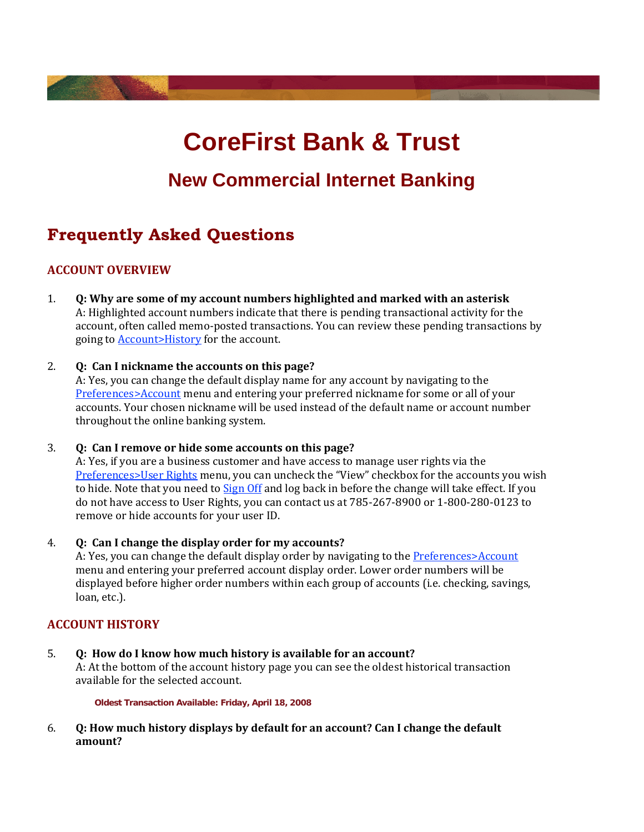# **CoreFirst Bank & Trust**

## **New Commercial Internet Banking**

## **Frequently Asked Questions**

## **ACCOUNT OVERVIEW**

- 1. **Q: Why are some of my account numbers highlighted and marked with an asterisk**  A: Highlighted account numbers indicate that there is pending transactional activity for the account, often called memo‐posted transactions. You can review these pending transactions by going to Account>History for the account.
- 2. **Q: Can I nickname the accounts on this page?**

A: Yes, you can change the default display name for any account by navigating to the Preferences>Account menu and entering your preferred nickname for some or all of your accounts. Your chosen nickname will be used instead of the default name or account number throughout the online banking system.

3. **Q: Can I remove or hide some accounts on this page?**

A: Yes, if you are a business customer and have access to manage user rights via the Preferences>User Rights menu, you can uncheck the "View" checkbox for the accounts you wish to hide. Note that you need to Sign Off and log back in before the change will take effect. If you do not have access to User Rights, you can contact us at 785‐267‐8900 or 1‐800‐280‐0123 to remove or hide accounts for your user ID.

4. **Q: Can I change the display order for my accounts?**

A: Yes, you can change the default display order by navigating to the Preferences>Account menu and entering your preferred account display order. Lower order numbers will be displayed before higher order numbers within each group of accounts (i.e. checking, savings, loan, etc.).

## **ACCOUNT HISTORY**

5. **Q: How do I know how much history is available for an account?** A: At the bottom of the account history page you can see the oldest historical transaction available for the selected account.

**Oldest Transaction Available: Friday, April 18, 2008**

6. **Q: How much history displays by default for an account? Can I change the default amount?**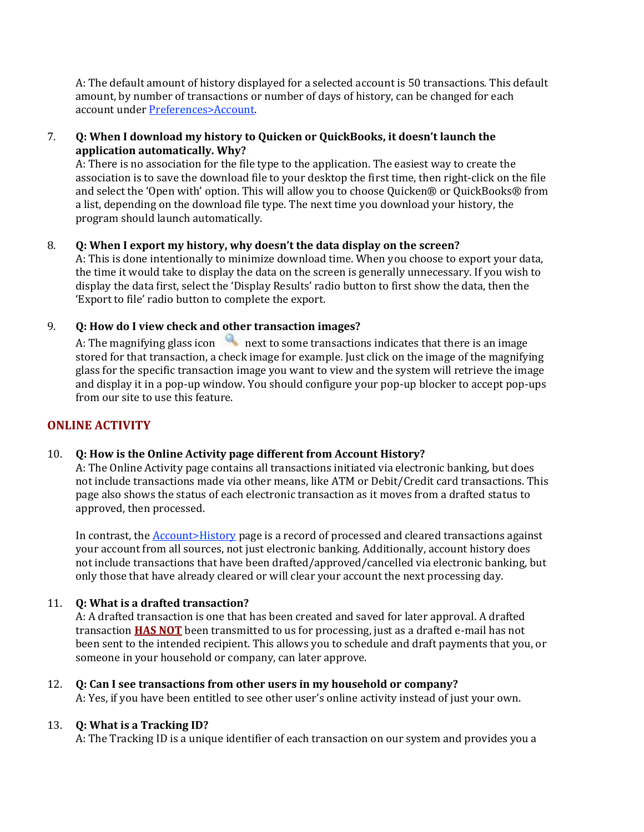A: The default amount of history displayed for a selected account is 50 transactions. This default amount, by number of transactions or number of days of history, can be changed for each account under Preferences>Account.

## 7. **Q: When I download my history to Quicken or QuickBooks, it doesn't launch the application automatically. Why?**

A: There is no association for the file type to the application. The easiest way to create the association is to save the download file to your desktop the first time, then right‐click on the file and select the 'Open with' option. This will allow you to choose Quicken® or QuickBooks® from a list, depending on the download file type. The next time you download your history, the program should launch automatically.

## 8. **Q: When I export my history, why doesn't the data display on the screen?**

A: This is done intentionally to minimize download time. When you choose to export your data, the time it would take to display the data on the screen is generally unnecessary. If you wish to display the data first, select the 'Display Results' radio button to first show the data, then the 'Export to file' radio button to complete the export.

## 9. **Q: How do I view check and other transaction images?**

A: The magnifying glass icon  $\Box$  next to some transactions indicates that there is an image stored for that transaction, a check image for example. Just click on the image of the magnifying glass for the specific transaction image you want to view and the system will retrieve the image and display it in a pop‐up window. You should configure your pop‐up blocker to accept pop‐ups from our site to use this feature.

## **ONLINE ACTIVITY**

## 10. **Q: How is the Online Activity page different from Account History?**

A: The Online Activity page contains all transactions initiated via electronic banking, but does not include transactions made via other means, like ATM or Debit/Credit card transactions. This page also shows the status of each electronic transaction as it moves from a drafted status to approved, then processed.

In contrast, the **Account>History** page is a record of processed and cleared transactions against your account from all sources, not just electronic banking. Additionally, account history does not include transactions that have been drafted/approved/cancelled via electronic banking, but only those that have already cleared or will clear your account the next processing day.

## 11. **Q: What is a drafted transaction?**

A: A drafted transaction is one that has been created and saved for later approval. A drafted transaction **HAS NOT** been transmitted to us for processing, just as a drafted e‐mail has not been sent to the intended recipient. This allows you to schedule and draft payments that you, or someone in your household or company, can later approve.

12. **Q: Can I see transactions from other users in my household or company?** A: Yes, if you have been entitled to see other user's online activity instead of just your own.

## 13. **Q: What is a Tracking ID?**

A: The Tracking ID is a unique identifier of each transaction on our system and provides you a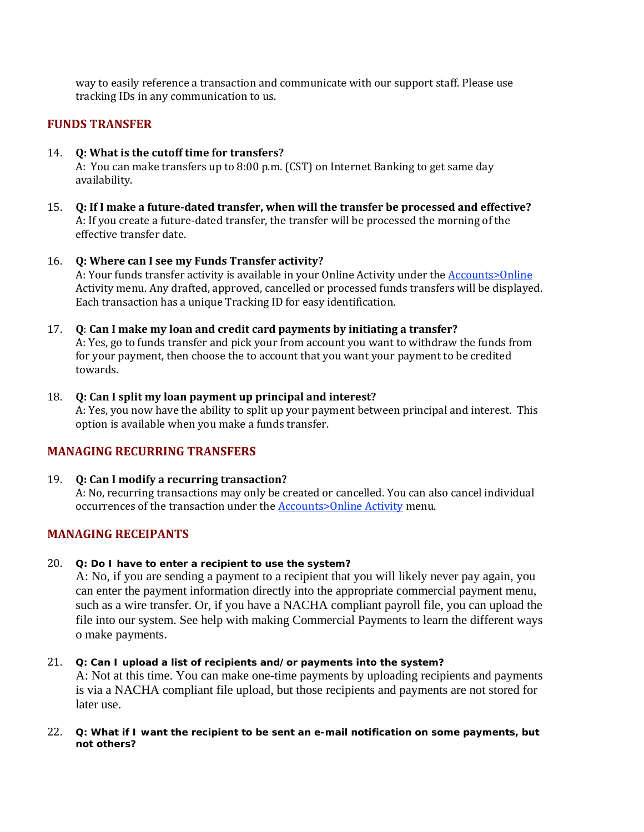way to easily reference a transaction and communicate with our support staff. Please use tracking IDs in any communication to us.

## **FUNDS TRANSFER**

- 14. **Q: What is the cutoff time for transfers?**  A: You can make transfers up to 8:00 p.m. (CST) on Internet Banking to get same day availability.
- 15. **Q: If I make a futuredated transfer, when will the transfer be processed and effective?** A: If you create a future‐dated transfer, the transfer will be processed the morning of the effective transfer date.
- 16. **Q: Where can I see my Funds Transfer activity?** A: Your funds transfer activity is available in your Online Activity under the Accounts>Online Activity menu. Any drafted, approved, cancelled or processed funds transfers will be displayed. Each transaction has a unique Tracking ID for easy identification.
- 17. **Q**: **Can I make my loan and credit card payments by initiating a transfer?** A: Yes, go to funds transfer and pick your from account you want to withdraw the funds from for your payment, then choose the to account that you want your payment to be credited towards.

## 18. **Q: Can I split my loan payment up principal and interest?**

A: Yes, you now have the ability to split up your payment between principal and interest. This option is available when you make a funds transfer.

## **MANAGING RECURRING TRANSFERS**

#### 19. **Q: Can I modify a recurring transaction?**

A: No, recurring transactions may only be created or cancelled. You can also cancel individual occurrences of the transaction under the **Accounts>Online Activity** menu.

## **MANAGING RECEIPANTS**

#### 20. **Q: Do I have to enter a recipient to use the system?**

A: No, if you are sending a payment to a recipient that you will likely never pay again, you can enter the payment information directly into the appropriate commercial payment menu, such as a wire transfer. Or, if you have a NACHA compliant payroll file, you can upload the file into our system. See help with making Commercial Payments to learn the different ways o make payments.

#### 21. **Q: Can I upload a list of recipients and/or payments into the system?**

A: Not at this time. You can make one-time payments by uploading recipients and payments is via a NACHA compliant file upload, but those recipients and payments are not stored for later use.

#### 22. **Q: What if I want the recipient to be sent an e-mail notification on some payments, but not others?**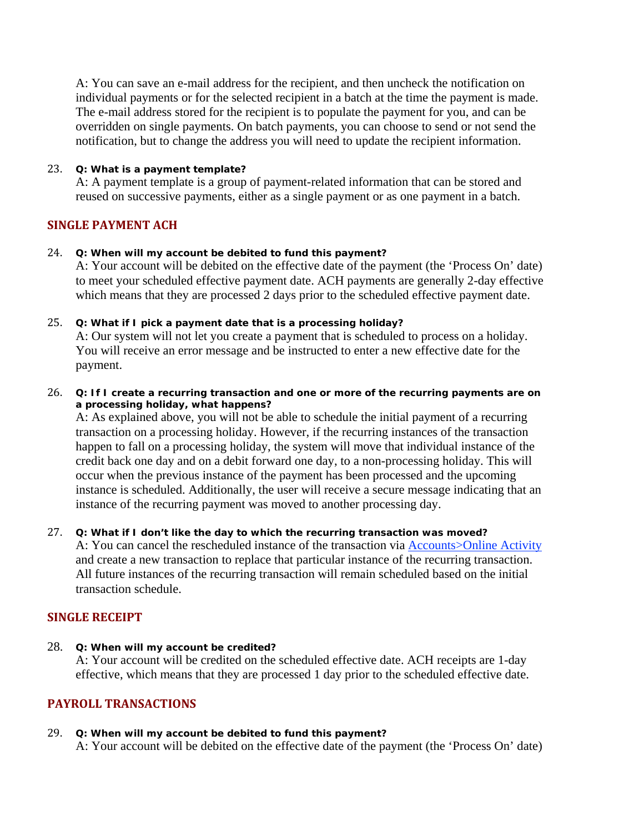A: You can save an e-mail address for the recipient, and then uncheck the notification on individual payments or for the selected recipient in a batch at the time the payment is made. The e-mail address stored for the recipient is to populate the payment for you, and can be overridden on single payments. On batch payments, you can choose to send or not send the notification, but to change the address you will need to update the recipient information.

### 23. **Q: What is a payment template?**

A: A payment template is a group of payment-related information that can be stored and reused on successive payments, either as a single payment or as one payment in a batch.

## **SINGLE PAYMENT ACH**

## 24. **Q: When will my account be debited to fund this payment?**

A: Your account will be debited on the effective date of the payment (the 'Process On' date) to meet your scheduled effective payment date. ACH payments are generally 2-day effective which means that they are processed 2 days prior to the scheduled effective payment date.

## 25. **Q: What if I pick a payment date that is a processing holiday?**

A: Our system will not let you create a payment that is scheduled to process on a holiday. You will receive an error message and be instructed to enter a new effective date for the payment.

26. **Q: If I create a recurring transaction and one or more of the recurring payments are on a processing holiday, what happens?**

A: As explained above, you will not be able to schedule the initial payment of a recurring transaction on a processing holiday. However, if the recurring instances of the transaction happen to fall on a processing holiday, the system will move that individual instance of the credit back one day and on a debit forward one day, to a non-processing holiday. This will occur when the previous instance of the payment has been processed and the upcoming instance is scheduled. Additionally, the user will receive a secure message indicating that an instance of the recurring payment was moved to another processing day.

## 27. **Q: What if I don't like the day to which the recurring transaction was moved?**

A: You can cancel the rescheduled instance of the transaction via Accounts>Online Activity and create a new transaction to replace that particular instance of the recurring transaction. All future instances of the recurring transaction will remain scheduled based on the initial transaction schedule.

## **SINGLE RECEIPT**

28. **Q: When will my account be credited?**

A: Your account will be credited on the scheduled effective date. ACH receipts are 1-day effective, which means that they are processed 1 day prior to the scheduled effective date.

## **PAYROLL TRANSACTIONS**

#### 29. **Q: When will my account be debited to fund this payment?**

A: Your account will be debited on the effective date of the payment (the 'Process On' date)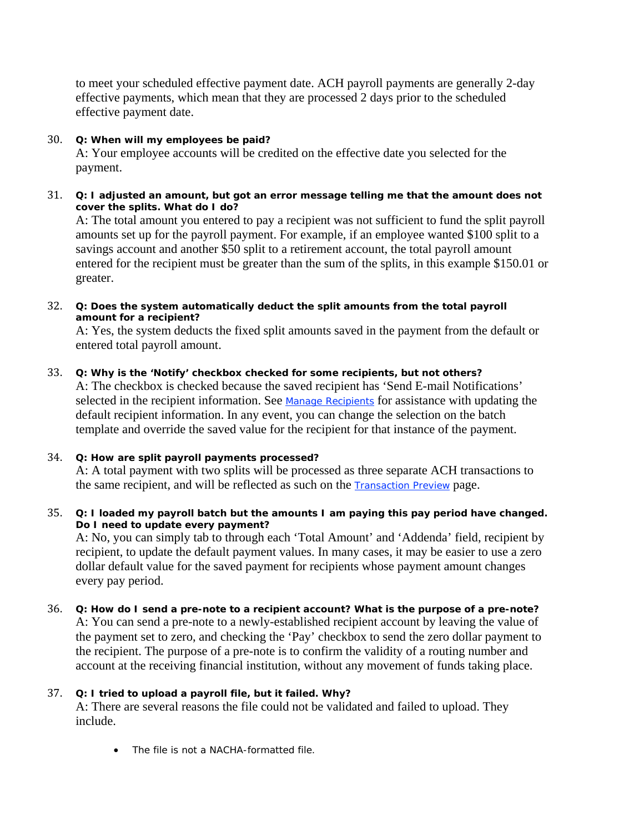to meet your scheduled effective payment date. ACH payroll payments are generally 2-day effective payments, which mean that they are processed 2 days prior to the scheduled effective payment date.

## 30. **Q: When will my employees be paid?**

A: Your employee accounts will be credited on the effective date you selected for the payment.

31. **Q: I adjusted an amount, but got an error message telling me that the amount does not cover the splits. What do I do?**

A: The total amount you entered to pay a recipient was not sufficient to fund the split payroll amounts set up for the payroll payment. For example, if an employee wanted \$100 split to a savings account and another \$50 split to a retirement account, the total payroll amount entered for the recipient must be greater than the sum of the splits, in this example \$150.01 or greater.

32. **Q: Does the system automatically deduct the split amounts from the total payroll amount for a recipient?**

A: Yes, the system deducts the fixed split amounts saved in the payment from the default or entered total payroll amount.

## 33. **Q: Why is the 'Notify' checkbox checked for some recipients, but not others?**

A: The checkbox is checked because the saved recipient has 'Send E-mail Notifications' selected in the recipient information. See Manage Recipients for assistance with updating the default recipient information. In any event, you can change the selection on the batch template and override the saved value for the recipient for that instance of the payment.

## 34. **Q: How are split payroll payments processed?**

A: A total payment with two splits will be processed as three separate ACH transactions to the same recipient, and will be reflected as such on the Transaction Preview page.

35. **Q: I loaded my payroll batch but the amounts I am paying this pay period have changed. Do I need to update every payment?**

A: No, you can simply tab to through each 'Total Amount' and 'Addenda' field, recipient by recipient, to update the default payment values. In many cases, it may be easier to use a zero dollar default value for the saved payment for recipients whose payment amount changes every pay period.

36. **Q: How do I send a pre-note to a recipient account? What is the purpose of a pre-note?** A: You can send a pre-note to a newly-established recipient account by leaving the value of the payment set to zero, and checking the 'Pay' checkbox to send the zero dollar payment to the recipient. The purpose of a pre-note is to confirm the validity of a routing number and account at the receiving financial institution, without any movement of funds taking place.

## 37. **Q: I tried to upload a payroll file, but it failed. Why?**

A: There are several reasons the file could not be validated and failed to upload. They include.

• The file is not a NACHA-formatted file.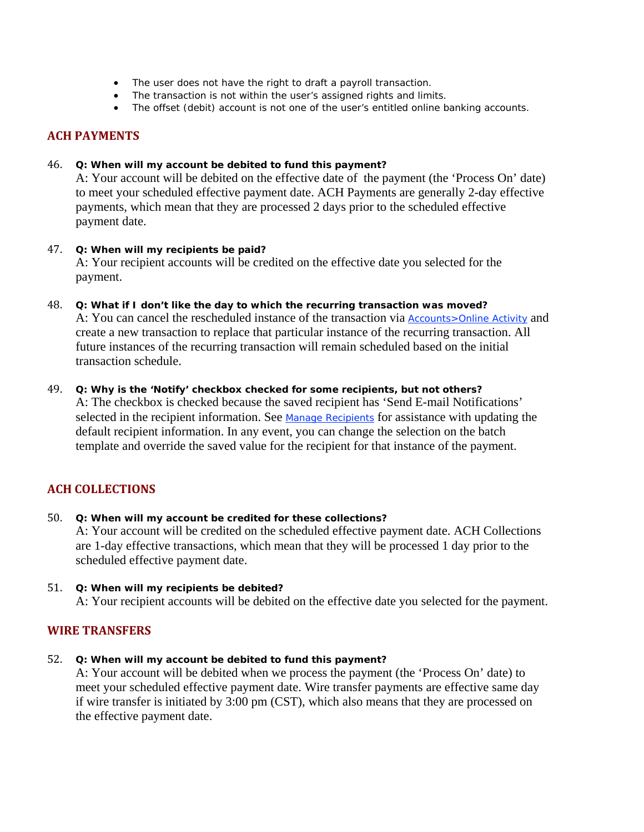- The user does not have the right to draft a payroll transaction.
- The transaction is not within the user's assigned rights and limits.
- The offset (debit) account is not one of the user's entitled online banking accounts.

## **ACH PAYMENTS**

#### 46. **Q: When will my account be debited to fund this payment?**

A: Your account will be debited on the effective date of the payment (the 'Process On' date) to meet your scheduled effective payment date. ACH Payments are generally 2-day effective payments, which mean that they are processed 2 days prior to the scheduled effective payment date.

- 47. **Q: When will my recipients be paid?**  A: Your recipient accounts will be credited on the effective date you selected for the payment.
- 48. **Q: What if I don't like the day to which the recurring transaction was moved?** A: You can cancel the rescheduled instance of the transaction via **Accounts>Online Activity** and create a new transaction to replace that particular instance of the recurring transaction. All future instances of the recurring transaction will remain scheduled based on the initial transaction schedule.
- 49. **Q: Why is the 'Notify' checkbox checked for some recipients, but not others?** A: The checkbox is checked because the saved recipient has 'Send E-mail Notifications' selected in the recipient information. See Manage Recipients for assistance with updating the default recipient information. In any event, you can change the selection on the batch template and override the saved value for the recipient for that instance of the payment.

## **ACH COLLECTIONS**

- 50. **Q: When will my account be credited for these collections?** A: Your account will be credited on the scheduled effective payment date. ACH Collections are 1-day effective transactions, which mean that they will be processed 1 day prior to the scheduled effective payment date.
- 51. **Q: When will my recipients be debited?**  A: Your recipient accounts will be debited on the effective date you selected for the payment.

## **WIRE TRANSFERS**

52. **Q: When will my account be debited to fund this payment?**

A: Your account will be debited when we process the payment (the 'Process On' date) to meet your scheduled effective payment date. Wire transfer payments are effective same day if wire transfer is initiated by 3:00 pm (CST), which also means that they are processed on the effective payment date.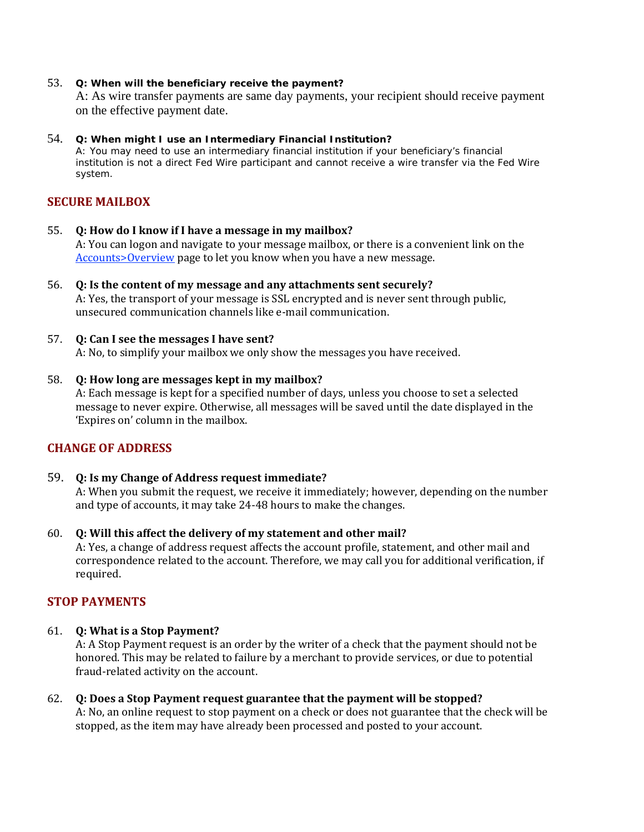#### 53. **Q: When will the beneficiary receive the payment?**

A: As wire transfer payments are same day payments, your recipient should receive payment on the effective payment date.

#### 54. **Q: When might I use an Intermediary Financial Institution?**

A: You may need to use an intermediary financial institution if your beneficiary's financial institution is not a direct Fed Wire participant and cannot receive a wire transfer via the Fed Wire system.

## **SECURE MAILBOX**

- 55. **Q: How do I know if I have a message in my mailbox?** A: You can logon and navigate to your message mailbox, or there is a convenient link on the Accounts>Overview page to let you know when you have a new message.
- 56. **Q: Is the content of my message and any attachments sent securely?** A: Yes, the transport of your message is SSL encrypted and is never sent through public, unsecured communication channels like e‐mail communication.
- 57. **Q: Can I see the messages I have sent?** A: No, to simplify your mailbox we only show the messages you have received.

#### 58. **Q: How long are messages kept in my mailbox?**

A: Each message is kept for a specified number of days, unless you choose to set a selected message to never expire. Otherwise, all messages will be saved until the date displayed in the 'Expires on' column in the mailbox.

## **CHANGE OF ADDRESS**

- 59. **Q: Is my Change of Address request immediate?** A: When you submit the request, we receive it immediately; however, depending on the number and type of accounts, it may take 24‐48 hours to make the changes.
- 60. **Q: Will this affect the delivery of my statement and other mail?**

A: Yes, a change of address request affects the account profile, statement, and other mail and correspondence related to the account. Therefore, we may call you for additional verification, if required.

## **STOP PAYMENTS**

#### 61. **Q: What is a Stop Payment?**

A: A Stop Payment request is an order by the writer of a check that the payment should not be honored. This may be related to failure by a merchant to provide services, or due to potential fraud‐related activity on the account.

62. **Q: Does a Stop Payment request guarantee that the payment will be stopped?** A: No, an online request to stop payment on a check or does not guarantee that the check will be stopped, as the item may have already been processed and posted to your account.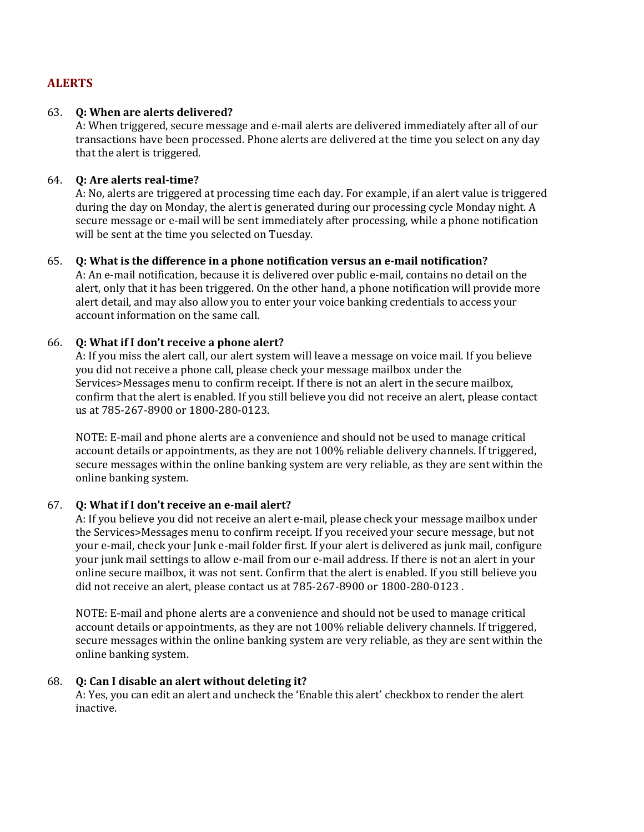## **ALERTS**

## 63. **Q: When are alerts delivered?**

A: When triggered, secure message and e‐mail alerts are delivered immediately after all of our transactions have been processed. Phone alerts are delivered at the time you select on any day that the alert is triggered.

## 64. **Q: Are alerts realtime?**

A: No, alerts are triggered at processing time each day. For example, if an alert value is triggered during the day on Monday, the alert is generated during our processing cycle Monday night. A secure message or e-mail will be sent immediately after processing, while a phone notification will be sent at the time you selected on Tuesday.

## 65. **Q: What is the difference in a phone notification versus an email notification?**

A: An e-mail notification, because it is delivered over public e-mail, contains no detail on the alert, only that it has been triggered. On the other hand, a phone notification will provide more alert detail, and may also allow you to enter your voice banking credentials to access your account information on the same call.

## 66. **Q: What if I don't receive a phone alert?**

A: If you miss the alert call, our alert system will leave a message on voice mail. If you believe you did not receive a phone call, please check your message mailbox under the Services>Messages menu to confirm receipt. If there is not an alert in the secure mailbox, confirm that the alert is enabled. If you still believe you did not receive an alert, please contact us at 785‐267‐8900 or 1800‐280‐0123.

NOTE: E‐mail and phone alerts are a convenience and should not be used to manage critical account details or appointments, as they are not 100% reliable delivery channels. If triggered, secure messages within the online banking system are very reliable, as they are sent within the online banking system.

## 67. **Q: What if I don't receive an email alert?**

A: If you believe you did not receive an alert e‐mail, please check your message mailbox under the Services>Messages menu to confirm receipt. If you received your secure message, but not your e‐mail, check your Junk e‐mail folder first. If your alert is delivered as junk mail, configure your junk mail settings to allow e-mail from our e-mail address. If there is not an alert in your online secure mailbox, it was not sent. Confirm that the alert is enabled. If you still believe you did not receive an alert, please contact us at 785‐267‐8900 or 1800‐280‐0123 .

NOTE: E‐mail and phone alerts are a convenience and should not be used to manage critical account details or appointments, as they are not 100% reliable delivery channels. If triggered, secure messages within the online banking system are very reliable, as they are sent within the online banking system.

## 68. **Q: Can I disable an alert without deleting it?**

A: Yes, you can edit an alert and uncheck the 'Enable this alert' checkbox to render the alert inactive.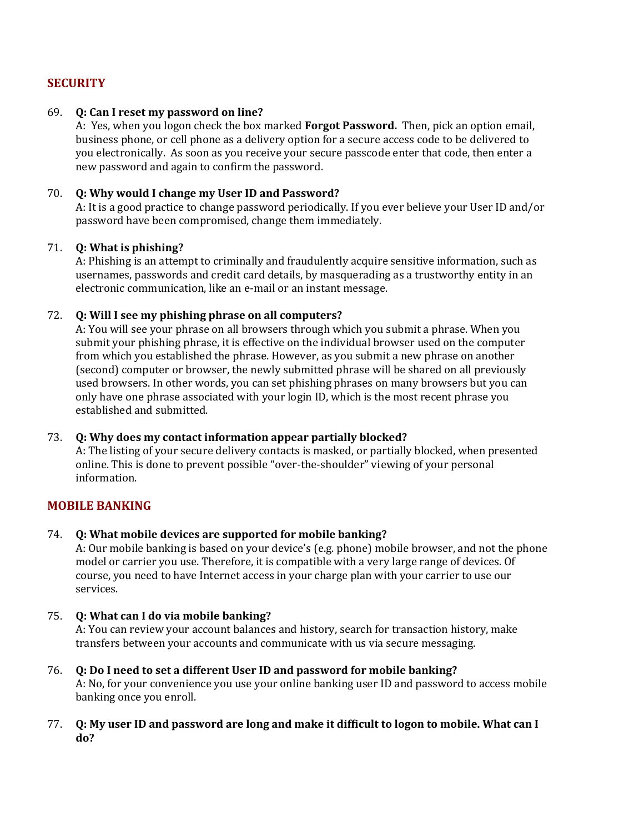## **SECURITY**

## 69. **Q: Can I reset my password on line?**

 A: Yes, when you logon check the box marked **Forgot Password.** Then, pick an option email, business phone, or cell phone as a delivery option for a secure access code to be delivered to you electronically. As soon as you receive your secure passcode enter that code, then enter a new password and again to confirm the password.

## 70. **Q: Why would I change my User ID and Password?**

A: It is a good practice to change password periodically. If you ever believe your User ID and/or password have been compromised, change them immediately.

## 71. **Q: What is phishing?**

A: Phishing is an attempt to criminally and fraudulently acquire sensitive information, such as usernames, passwords and credit card details, by masquerading as a trustworthy entity in an electronic communication, like an e‐mail or an instant message.

## 72. **Q: Will I see my phishing phrase on all computers?**

A: You will see your phrase on all browsers through which you submit a phrase. When you submit your phishing phrase, it is effective on the individual browser used on the computer from which you established the phrase. However, as you submit a new phrase on another (second) computer or browser, the newly submitted phrase will be shared on all previously used browsers. In other words, you can set phishing phrases on many browsers but you can only have one phrase associated with your login ID, which is the most recent phrase you established and submitted.

## 73. **Q: Why does my contact information appear partially blocked?**

A: The listing of your secure delivery contacts is masked, or partially blocked, when presented online. This is done to prevent possible "over‐the‐shoulder" viewing of your personal information.

## **MOBILE BANKING**

#### 74. **Q: What mobile devices are supported for mobile banking?**

A: Our mobile banking is based on your device's (e.g. phone) mobile browser, and not the phone model or carrier you use. Therefore, it is compatible with a very large range of devices. Of course, you need to have Internet access in your charge plan with your carrier to use our services.

## 75. **Q: What can I do via mobile banking?**

A: You can review your account balances and history, search for transaction history, make transfers between your accounts and communicate with us via secure messaging.

## 76. **Q: Do I need to set a different User ID and password for mobile banking?**

A: No, for your convenience you use your online banking user ID and password to access mobile banking once you enroll.

## 77. O: My user ID and password are long and make it difficult to logon to mobile. What can I **do?**